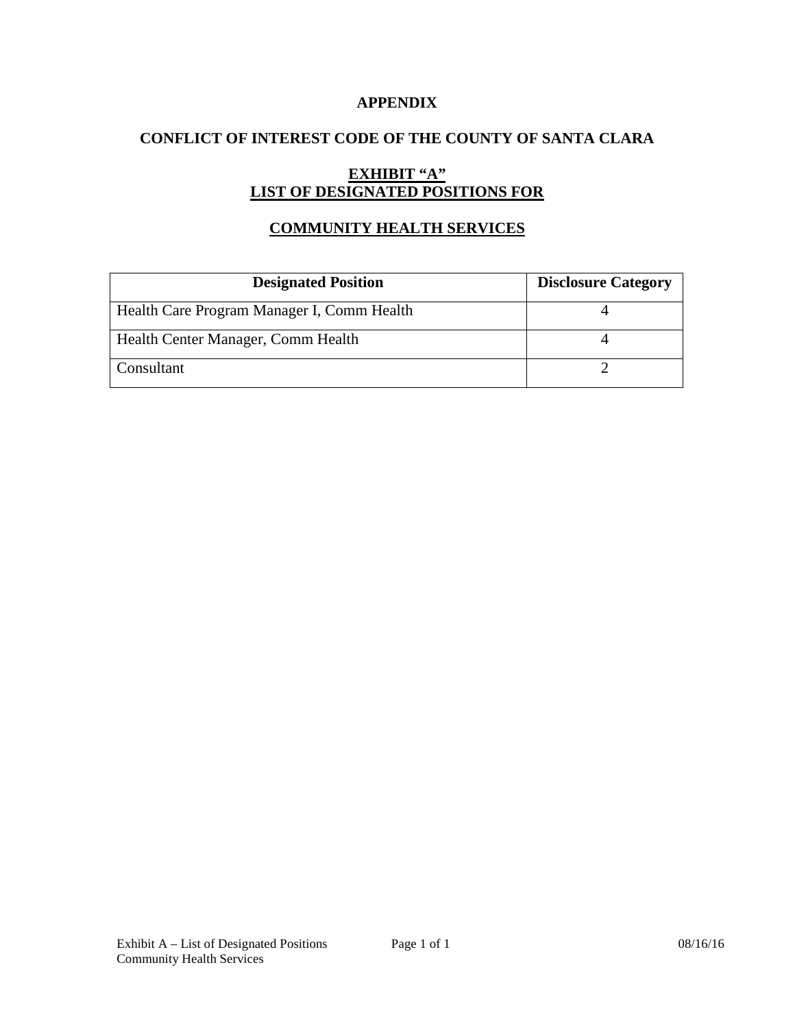## **APPENDIX**

## **CONFLICT OF INTEREST CODE OF THE COUNTY OF SANTA CLARA**

# **EXHIBIT "A" LIST OF DESIGNATED POSITIONS FOR**

## **COMMUNITY HEALTH SERVICES**

| <b>Designated Position</b>                 | <b>Disclosure Category</b> |
|--------------------------------------------|----------------------------|
| Health Care Program Manager I, Comm Health |                            |
| Health Center Manager, Comm Health         |                            |
| Consultant                                 |                            |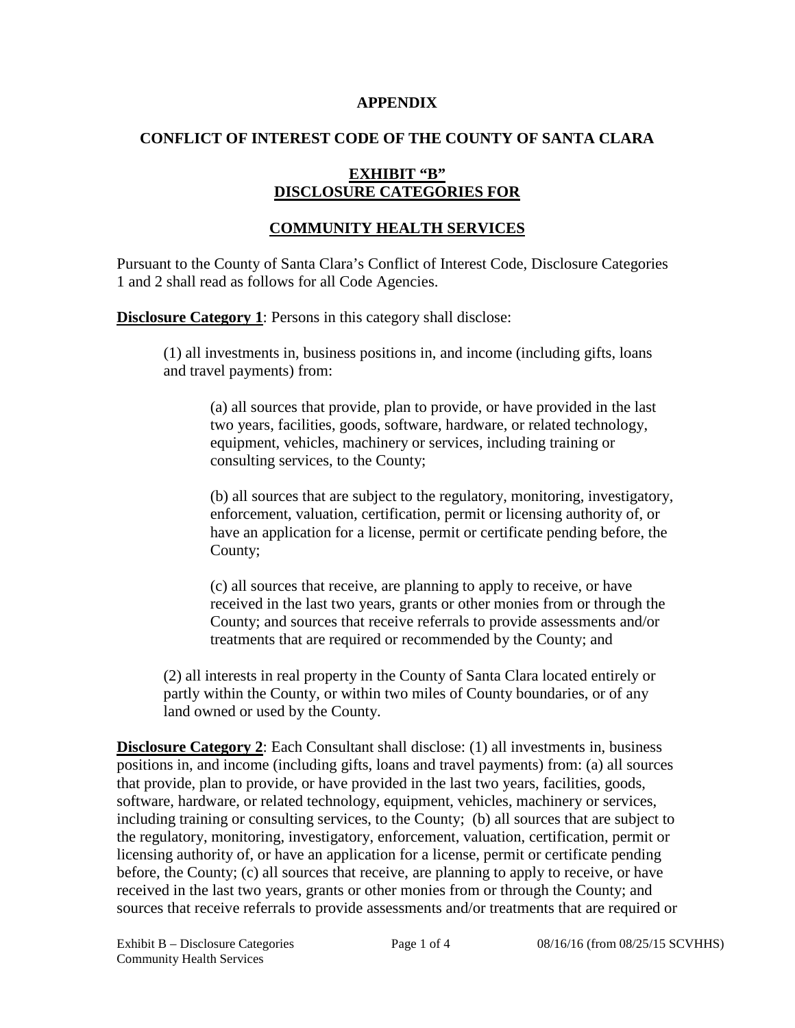#### **APPENDIX**

## **CONFLICT OF INTEREST CODE OF THE COUNTY OF SANTA CLARA**

## **EXHIBIT "B" DISCLOSURE CATEGORIES FOR**

## **COMMUNITY HEALTH SERVICES**

Pursuant to the County of Santa Clara's Conflict of Interest Code, Disclosure Categories 1 and 2 shall read as follows for all Code Agencies.

**Disclosure Category 1**: Persons in this category shall disclose:

(1) all investments in, business positions in, and income (including gifts, loans and travel payments) from:

(a) all sources that provide, plan to provide, or have provided in the last two years, facilities, goods, software, hardware, or related technology, equipment, vehicles, machinery or services, including training or consulting services, to the County;

(b) all sources that are subject to the regulatory, monitoring, investigatory, enforcement, valuation, certification, permit or licensing authority of, or have an application for a license, permit or certificate pending before, the County;

(c) all sources that receive, are planning to apply to receive, or have received in the last two years, grants or other monies from or through the County; and sources that receive referrals to provide assessments and/or treatments that are required or recommended by the County; and

(2) all interests in real property in the County of Santa Clara located entirely or partly within the County, or within two miles of County boundaries, or of any land owned or used by the County.

**Disclosure Category 2**: Each Consultant shall disclose: (1) all investments in, business positions in, and income (including gifts, loans and travel payments) from: (a) all sources that provide, plan to provide, or have provided in the last two years, facilities, goods, software, hardware, or related technology, equipment, vehicles, machinery or services, including training or consulting services, to the County; (b) all sources that are subject to the regulatory, monitoring, investigatory, enforcement, valuation, certification, permit or licensing authority of, or have an application for a license, permit or certificate pending before, the County; (c) all sources that receive, are planning to apply to receive, or have received in the last two years, grants or other monies from or through the County; and sources that receive referrals to provide assessments and/or treatments that are required or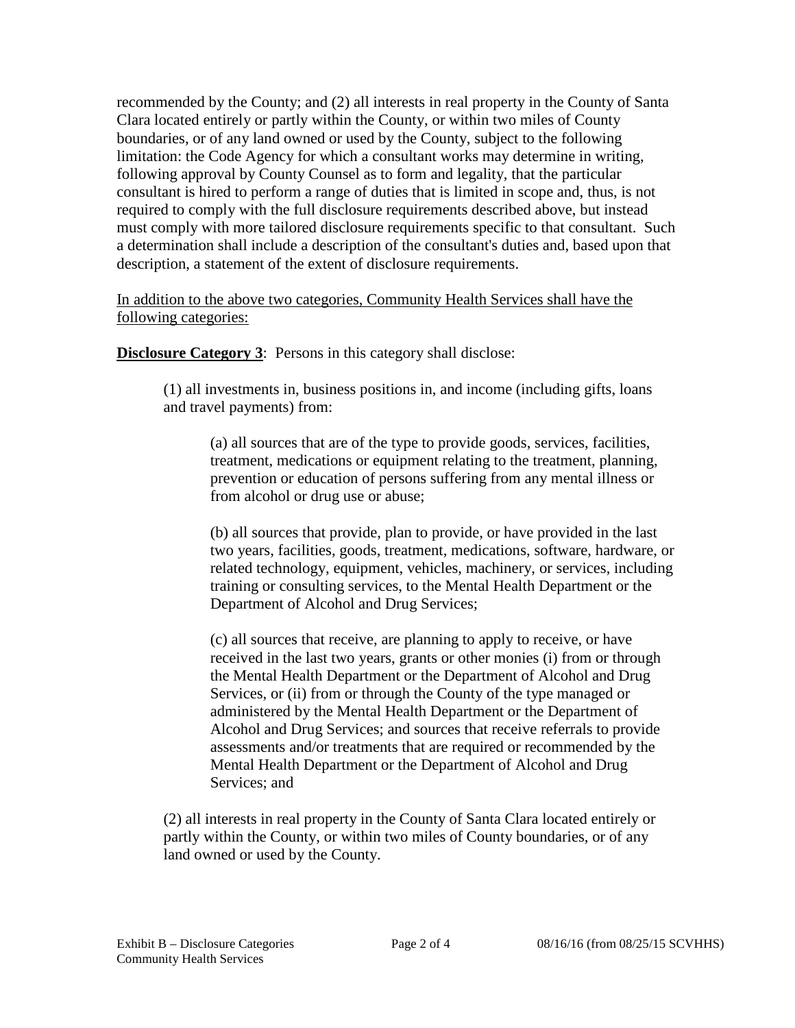recommended by the County; and (2) all interests in real property in the County of Santa Clara located entirely or partly within the County, or within two miles of County boundaries, or of any land owned or used by the County, subject to the following limitation: the Code Agency for which a consultant works may determine in writing, following approval by County Counsel as to form and legality, that the particular consultant is hired to perform a range of duties that is limited in scope and, thus, is not required to comply with the full disclosure requirements described above, but instead must comply with more tailored disclosure requirements specific to that consultant. Such a determination shall include a description of the consultant's duties and, based upon that description, a statement of the extent of disclosure requirements.

In addition to the above two categories, Community Health Services shall have the following categories:

**Disclosure Category 3:** Persons in this category shall disclose:

(1) all investments in, business positions in, and income (including gifts, loans and travel payments) from:

(a) all sources that are of the type to provide goods, services, facilities, treatment, medications or equipment relating to the treatment, planning, prevention or education of persons suffering from any mental illness or from alcohol or drug use or abuse;

(b) all sources that provide, plan to provide, or have provided in the last two years, facilities, goods, treatment, medications, software, hardware, or related technology, equipment, vehicles, machinery, or services, including training or consulting services, to the Mental Health Department or the Department of Alcohol and Drug Services;

(c) all sources that receive, are planning to apply to receive, or have received in the last two years, grants or other monies (i) from or through the Mental Health Department or the Department of Alcohol and Drug Services, or (ii) from or through the County of the type managed or administered by the Mental Health Department or the Department of Alcohol and Drug Services; and sources that receive referrals to provide assessments and/or treatments that are required or recommended by the Mental Health Department or the Department of Alcohol and Drug Services; and

(2) all interests in real property in the County of Santa Clara located entirely or partly within the County, or within two miles of County boundaries, or of any land owned or used by the County.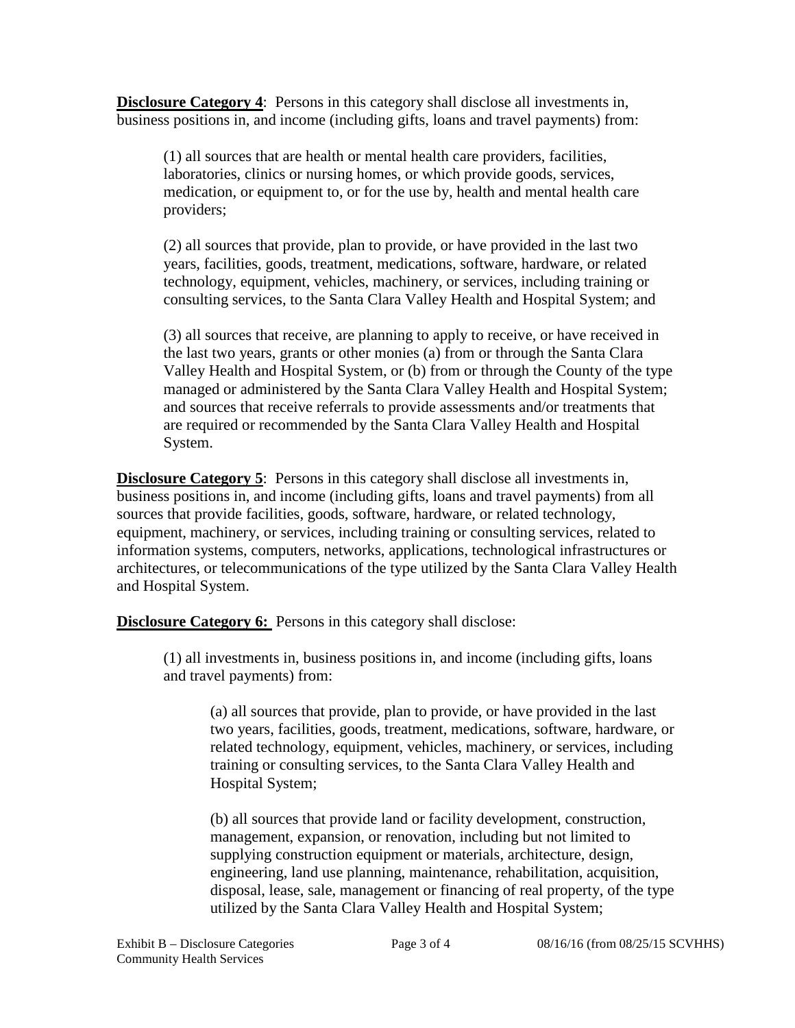**Disclosure Category 4**: Persons in this category shall disclose all investments in, business positions in, and income (including gifts, loans and travel payments) from:

(1) all sources that are health or mental health care providers, facilities, laboratories, clinics or nursing homes, or which provide goods, services, medication, or equipment to, or for the use by, health and mental health care providers;

(2) all sources that provide, plan to provide, or have provided in the last two years, facilities, goods, treatment, medications, software, hardware, or related technology, equipment, vehicles, machinery, or services, including training or consulting services, to the Santa Clara Valley Health and Hospital System; and

(3) all sources that receive, are planning to apply to receive, or have received in the last two years, grants or other monies (a) from or through the Santa Clara Valley Health and Hospital System, or (b) from or through the County of the type managed or administered by the Santa Clara Valley Health and Hospital System; and sources that receive referrals to provide assessments and/or treatments that are required or recommended by the Santa Clara Valley Health and Hospital System.

**Disclosure Category 5**: Persons in this category shall disclose all investments in, business positions in, and income (including gifts, loans and travel payments) from all sources that provide facilities, goods, software, hardware, or related technology, equipment, machinery, or services, including training or consulting services, related to information systems, computers, networks, applications, technological infrastructures or architectures, or telecommunications of the type utilized by the Santa Clara Valley Health and Hospital System.

**Disclosure Category 6:** Persons in this category shall disclose:

(1) all investments in, business positions in, and income (including gifts, loans and travel payments) from:

(a) all sources that provide, plan to provide, or have provided in the last two years, facilities, goods, treatment, medications, software, hardware, or related technology, equipment, vehicles, machinery, or services, including training or consulting services, to the Santa Clara Valley Health and Hospital System;

(b) all sources that provide land or facility development, construction, management, expansion, or renovation, including but not limited to supplying construction equipment or materials, architecture, design, engineering, land use planning, maintenance, rehabilitation, acquisition, disposal, lease, sale, management or financing of real property, of the type utilized by the Santa Clara Valley Health and Hospital System;